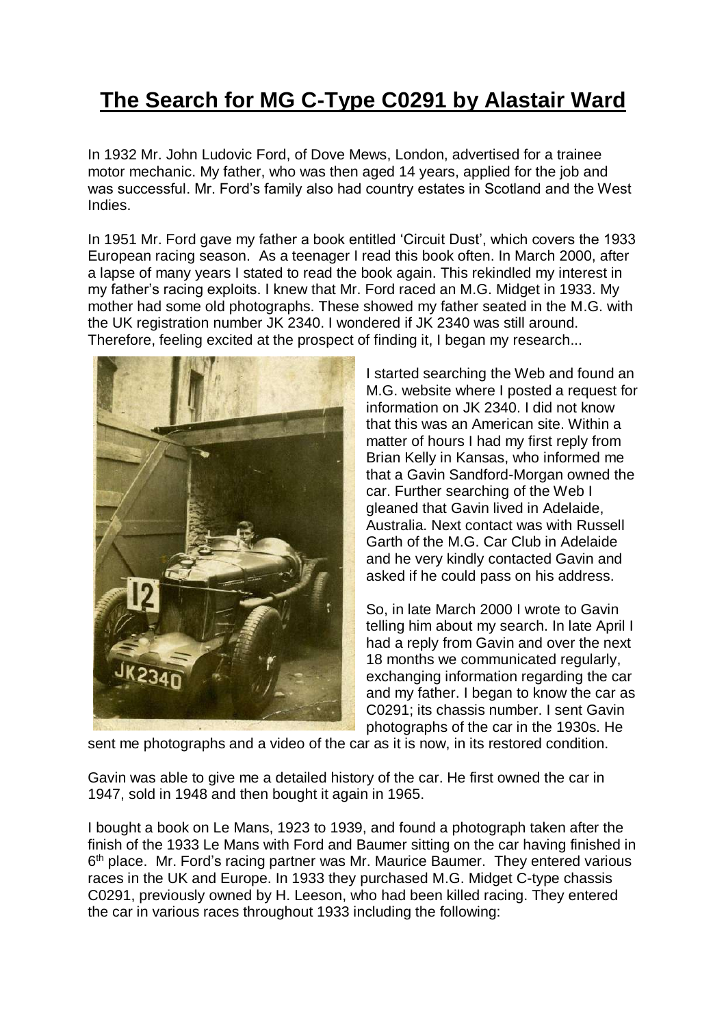## **The Search for MG C-Type C0291 by Alastair Ward**

In 1932 Mr. John Ludovic Ford, of Dove Mews, London, advertised for a trainee motor mechanic. My father, who was then aged 14 years, applied for the job and was successful. Mr. Ford's family also had country estates in Scotland and the West Indies.

In 1951 Mr. Ford gave my father a book entitled 'Circuit Dust', which covers the 1933 European racing season. As a teenager I read this book often. In March 2000, after a lapse of many years I stated to read the book again. This rekindled my interest in my father's racing exploits. I knew that Mr. Ford raced an M.G. Midget in 1933. My mother had some old photographs. These showed my father seated in the M.G. with the UK registration number JK 2340. I wondered if JK 2340 was still around. Therefore, feeling excited at the prospect of finding it, I began my research...



I started searching the Web and found an M.G. website where I posted a request for information on JK 2340. I did not know that this was an American site. Within a matter of hours I had my first reply from Brian Kelly in Kansas, who informed me that a Gavin Sandford-Morgan owned the car. Further searching of the Web I gleaned that Gavin lived in Adelaide, Australia. Next contact was with Russell Garth of the M.G. Car Club in Adelaide and he very kindly contacted Gavin and asked if he could pass on his address.

So, in late March 2000 I wrote to Gavin telling him about my search. In late April I had a reply from Gavin and over the next 18 months we communicated regularly, exchanging information regarding the car and my father. I began to know the car as C0291; its chassis number. I sent Gavin photographs of the car in the 1930s. He

sent me photographs and a video of the car as it is now, in its restored condition.

Gavin was able to give me a detailed history of the car. He first owned the car in 1947, sold in 1948 and then bought it again in 1965.

I bought a book on Le Mans, 1923 to 1939, and found a photograph taken after the finish of the 1933 Le Mans with Ford and Baumer sitting on the car having finished in 6<sup>th</sup> place. Mr. Ford's racing partner was Mr. Maurice Baumer. They entered various races in the UK and Europe. In 1933 they purchased M.G. Midget C-type chassis C0291, previously owned by H. Leeson, who had been killed racing. They entered the car in various races throughout 1933 including the following: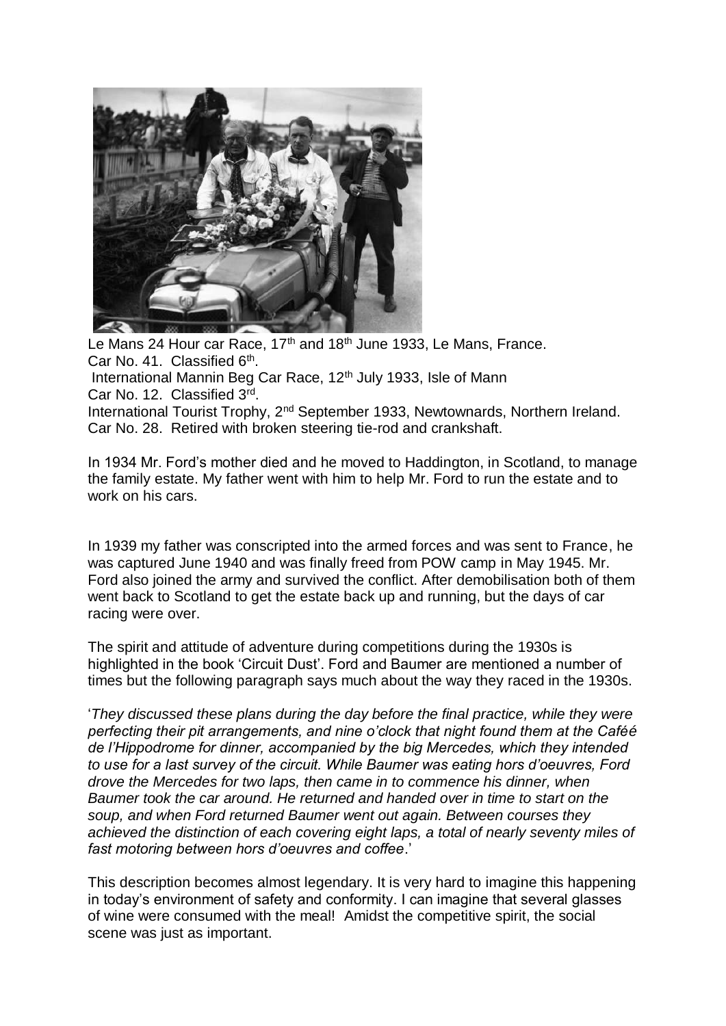

Le Mans 24 Hour car Race, 17<sup>th</sup> and 18<sup>th</sup> June 1933, Le Mans, France, Car No. 41. Classified 6<sup>th</sup>. International Mannin Beg Car Race, 12<sup>th</sup> July 1933, Isle of Mann

Car No. 12. Classified 3rd.

International Tourist Trophy, 2nd September 1933, Newtownards, Northern Ireland. Car No. 28. Retired with broken steering tie-rod and crankshaft.

In 1934 Mr. Ford's mother died and he moved to Haddington, in Scotland, to manage the family estate. My father went with him to help Mr. Ford to run the estate and to work on his cars.

In 1939 my father was conscripted into the armed forces and was sent to France, he was captured June 1940 and was finally freed from POW camp in May 1945. Mr. Ford also joined the army and survived the conflict. After demobilisation both of them went back to Scotland to get the estate back up and running, but the days of car racing were over.

The spirit and attitude of adventure during competitions during the 1930s is highlighted in the book 'Circuit Dust'. Ford and Baumer are mentioned a number of times but the following paragraph says much about the way they raced in the 1930s.

'*They discussed these plans during the day before the final practice, while they were perfecting their pit arrangements, and nine o'clock that night found them at the Caféé de l'Hippodrome for dinner, accompanied by the big Mercedes, which they intended to use for a last survey of the circuit. While Baumer was eating hors d'oeuvres, Ford drove the Mercedes for two laps, then came in to commence his dinner, when Baumer took the car around. He returned and handed over in time to start on the soup, and when Ford returned Baumer went out again. Between courses they achieved the distinction of each covering eight laps, a total of nearly seventy miles of fast motoring between hors d'oeuvres and coffee*.'

This description becomes almost legendary. It is very hard to imagine this happening in today's environment of safety and conformity. I can imagine that several glasses of wine were consumed with the meal! Amidst the competitive spirit, the social scene was just as important.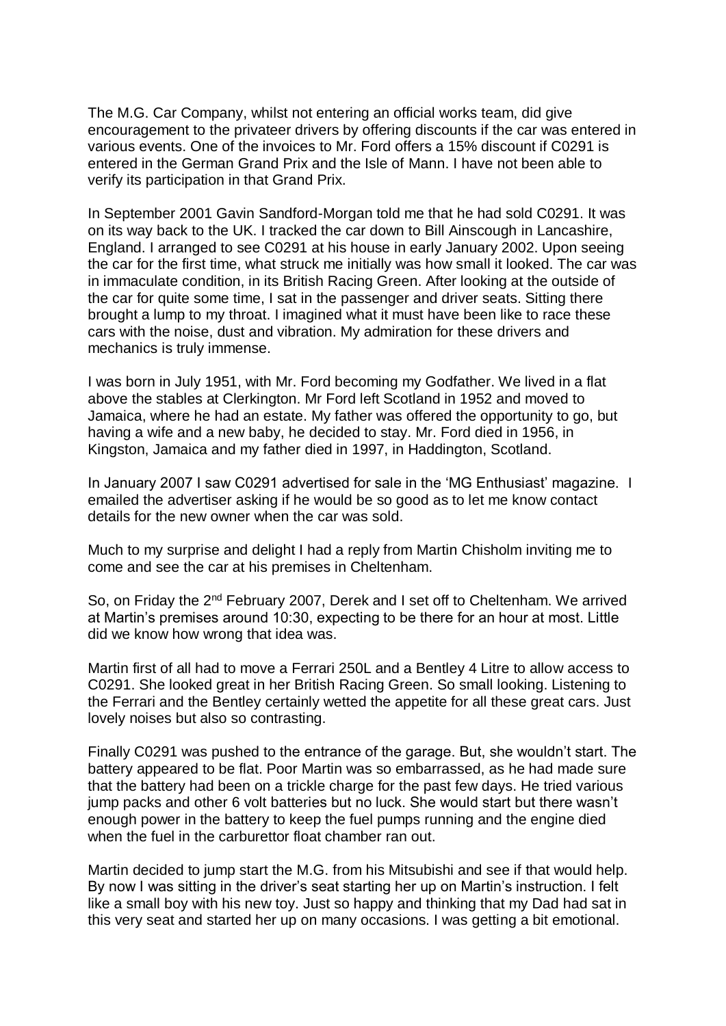The M.G. Car Company, whilst not entering an official works team, did give encouragement to the privateer drivers by offering discounts if the car was entered in various events. One of the invoices to Mr. Ford offers a 15% discount if C0291 is entered in the German Grand Prix and the Isle of Mann. I have not been able to verify its participation in that Grand Prix.

In September 2001 Gavin Sandford-Morgan told me that he had sold C0291. It was on its way back to the UK. I tracked the car down to Bill Ainscough in Lancashire, England. I arranged to see C0291 at his house in early January 2002. Upon seeing the car for the first time, what struck me initially was how small it looked. The car was in immaculate condition, in its British Racing Green. After looking at the outside of the car for quite some time, I sat in the passenger and driver seats. Sitting there brought a lump to my throat. I imagined what it must have been like to race these cars with the noise, dust and vibration. My admiration for these drivers and mechanics is truly immense.

I was born in July 1951, with Mr. Ford becoming my Godfather. We lived in a flat above the stables at Clerkington. Mr Ford left Scotland in 1952 and moved to Jamaica, where he had an estate. My father was offered the opportunity to go, but having a wife and a new baby, he decided to stay. Mr. Ford died in 1956, in Kingston, Jamaica and my father died in 1997, in Haddington, Scotland.

In January 2007 I saw C0291 advertised for sale in the 'MG Enthusiast' magazine. I emailed the advertiser asking if he would be so good as to let me know contact details for the new owner when the car was sold.

Much to my surprise and delight I had a reply from Martin Chisholm inviting me to come and see the car at his premises in Cheltenham.

So, on Friday the 2<sup>nd</sup> February 2007, Derek and I set off to Cheltenham. We arrived at Martin's premises around 10:30, expecting to be there for an hour at most. Little did we know how wrong that idea was.

Martin first of all had to move a Ferrari 250L and a Bentley 4 Litre to allow access to C0291. She looked great in her British Racing Green. So small looking. Listening to the Ferrari and the Bentley certainly wetted the appetite for all these great cars. Just lovely noises but also so contrasting.

Finally C0291 was pushed to the entrance of the garage. But, she wouldn't start. The battery appeared to be flat. Poor Martin was so embarrassed, as he had made sure that the battery had been on a trickle charge for the past few days. He tried various jump packs and other 6 volt batteries but no luck. She would start but there wasn't enough power in the battery to keep the fuel pumps running and the engine died when the fuel in the carburettor float chamber ran out.

Martin decided to jump start the M.G. from his Mitsubishi and see if that would help. By now I was sitting in the driver's seat starting her up on Martin's instruction. I felt like a small boy with his new toy. Just so happy and thinking that my Dad had sat in this very seat and started her up on many occasions. I was getting a bit emotional.